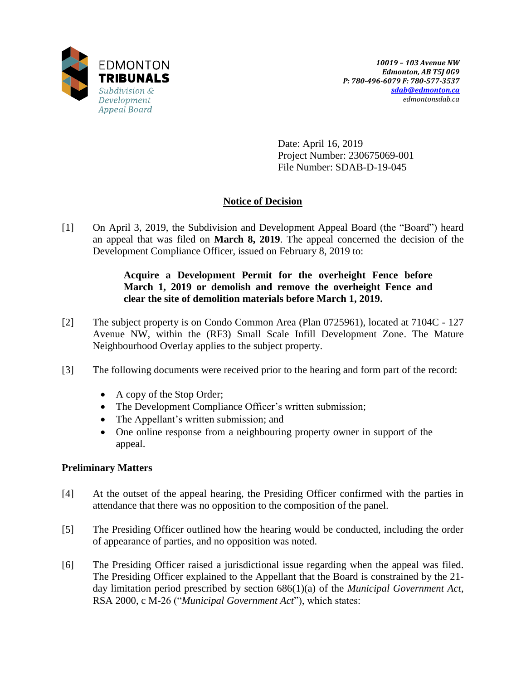

Date: April 16, 2019 Project Number: 230675069-001 File Number: SDAB-D-19-045

# **Notice of Decision**

[1] On April 3, 2019, the Subdivision and Development Appeal Board (the "Board") heard an appeal that was filed on **March 8, 2019**. The appeal concerned the decision of the Development Compliance Officer, issued on February 8, 2019 to:

# **Acquire a Development Permit for the overheight Fence before March 1, 2019 or demolish and remove the overheight Fence and clear the site of demolition materials before March 1, 2019.**

- [2] The subject property is on Condo Common Area (Plan 0725961), located at 7104C 127 Avenue NW, within the (RF3) Small Scale Infill Development Zone. The Mature Neighbourhood Overlay applies to the subject property.
- [3] The following documents were received prior to the hearing and form part of the record:
	- A copy of the Stop Order;
	- The Development Compliance Officer's written submission;
	- The Appellant's written submission; and
	- One online response from a neighbouring property owner in support of the appeal.

# **Preliminary Matters**

- [4] At the outset of the appeal hearing, the Presiding Officer confirmed with the parties in attendance that there was no opposition to the composition of the panel.
- [5] The Presiding Officer outlined how the hearing would be conducted, including the order of appearance of parties, and no opposition was noted.
- [6] The Presiding Officer raised a jurisdictional issue regarding when the appeal was filed. The Presiding Officer explained to the Appellant that the Board is constrained by the 21 day limitation period prescribed by section 686(1)(a) of the *Municipal Government Act*, RSA 2000, c M-26 ("*Municipal Government Act*"), which states: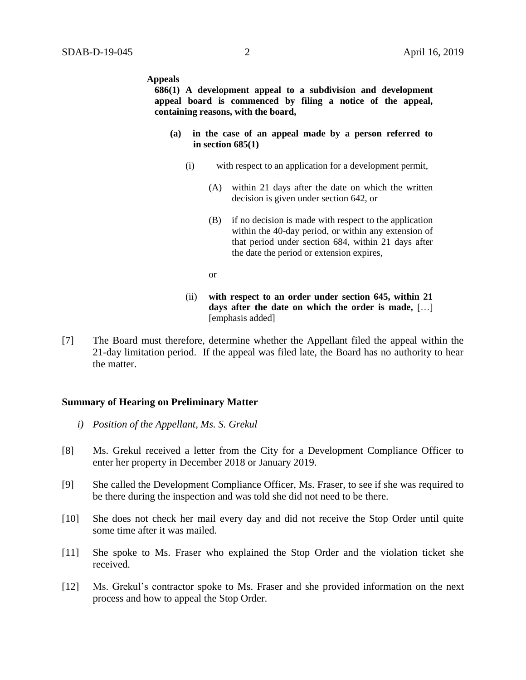#### **Appeals**

**686(1) A development appeal to a subdivision and development appeal board is commenced by filing a notice of the appeal, containing reasons, with the board,**

- **(a) in the case of an appeal made by a person referred to in section 685(1)**
	- (i) with respect to an application for a development permit,
		- (A) within 21 days after the date on which the written decision is given under section 642, or
		- (B) if no decision is made with respect to the application within the 40-day period, or within any extension of that period under section 684, within 21 days after the date the period or extension expires,
		- or
	- (ii) **with respect to an order under section 645, within 21 days after the date on which the order is made,** […] [emphasis added]
- [7] The Board must therefore, determine whether the Appellant filed the appeal within the 21-day limitation period. If the appeal was filed late, the Board has no authority to hear the matter.

## **Summary of Hearing on Preliminary Matter**

- *i) Position of the Appellant, Ms. S. Grekul*
- [8] Ms. Grekul received a letter from the City for a Development Compliance Officer to enter her property in December 2018 or January 2019.
- [9] She called the Development Compliance Officer, Ms. Fraser, to see if she was required to be there during the inspection and was told she did not need to be there.
- [10] She does not check her mail every day and did not receive the Stop Order until quite some time after it was mailed.
- [11] She spoke to Ms. Fraser who explained the Stop Order and the violation ticket she received.
- [12] Ms. Grekul's contractor spoke to Ms. Fraser and she provided information on the next process and how to appeal the Stop Order.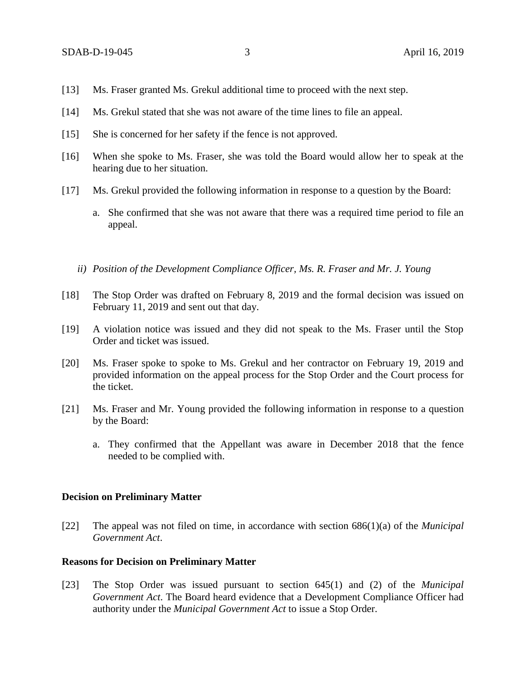- [13] Ms. Fraser granted Ms. Grekul additional time to proceed with the next step.
- [14] Ms. Grekul stated that she was not aware of the time lines to file an appeal.
- [15] She is concerned for her safety if the fence is not approved.
- [16] When she spoke to Ms. Fraser, she was told the Board would allow her to speak at the hearing due to her situation.
- [17] Ms. Grekul provided the following information in response to a question by the Board:
	- a. She confirmed that she was not aware that there was a required time period to file an appeal.
	- *ii) Position of the Development Compliance Officer, Ms. R. Fraser and Mr. J. Young*
- [18] The Stop Order was drafted on February 8, 2019 and the formal decision was issued on February 11, 2019 and sent out that day.
- [19] A violation notice was issued and they did not speak to the Ms. Fraser until the Stop Order and ticket was issued.
- [20] Ms. Fraser spoke to spoke to Ms. Grekul and her contractor on February 19, 2019 and provided information on the appeal process for the Stop Order and the Court process for the ticket.
- [21] Ms. Fraser and Mr. Young provided the following information in response to a question by the Board:
	- a. They confirmed that the Appellant was aware in December 2018 that the fence needed to be complied with.

## **Decision on Preliminary Matter**

[22] The appeal was not filed on time, in accordance with section 686(1)(a) of the *Municipal Government Act*.

## **Reasons for Decision on Preliminary Matter**

[23] The Stop Order was issued pursuant to section 645(1) and (2) of the *Municipal Government Act*. The Board heard evidence that a Development Compliance Officer had authority under the *Municipal Government Act* to issue a Stop Order.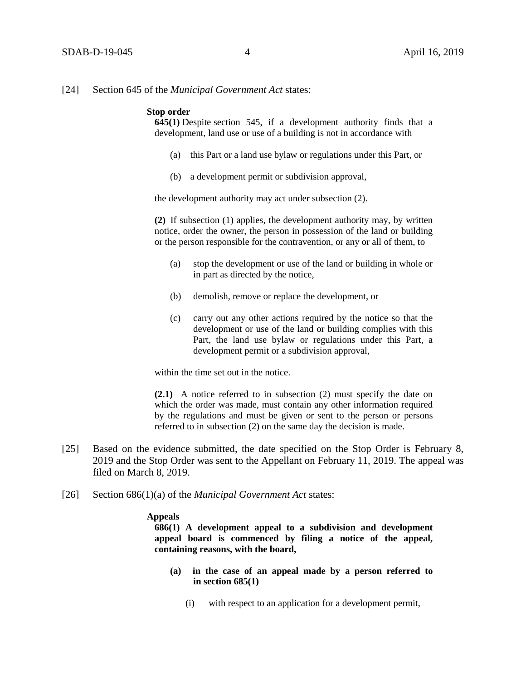#### [24] Section 645 of the *Municipal Government Act* states:

### **Stop order**

**645(1)** Despite [section 545,](https://www.canlii.org/en/ab/laws/stat/rsa-2000-c-m-26/latest/rsa-2000-c-m-26.html#sec545_smooth) if a development authority finds that a development, land use or use of a building is not in accordance with

- (a) this Part or a land use bylaw or regulations under this Part, or
- (b) a development permit or subdivision approval,

the development authority may act under subsection (2).

**(2)** If subsection (1) applies, the development authority may, by written notice, order the owner, the person in possession of the land or building or the person responsible for the contravention, or any or all of them, to

- (a) stop the development or use of the land or building in whole or in part as directed by the notice,
- (b) demolish, remove or replace the development, or
- (c) carry out any other actions required by the notice so that the development or use of the land or building complies with this Part, the land use bylaw or regulations under this Part, a development permit or a subdivision approval,

within the time set out in the notice.

**(2.1)** A notice referred to in subsection (2) must specify the date on which the order was made, must contain any other information required by the regulations and must be given or sent to the person or persons referred to in subsection (2) on the same day the decision is made.

- [25] Based on the evidence submitted, the date specified on the Stop Order is February 8, 2019 and the Stop Order was sent to the Appellant on February 11, 2019. The appeal was filed on March 8, 2019.
- [26] Section 686(1)(a) of the *Municipal Government Act* states:

#### **Appeals**

**686(1) A development appeal to a subdivision and development appeal board is commenced by filing a notice of the appeal, containing reasons, with the board,**

- **(a) in the case of an appeal made by a person referred to in section 685(1)**
	- (i) with respect to an application for a development permit,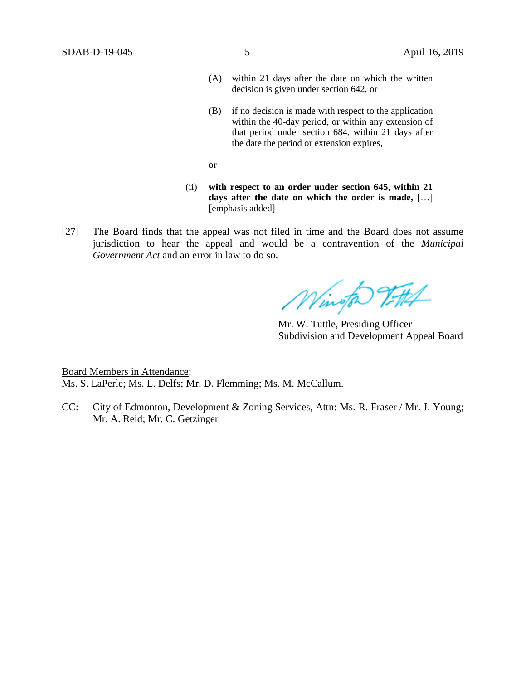- (A) within 21 days after the date on which the written decision is given under section 642, or
- (B) if no decision is made with respect to the application within the 40-day period, or within any extension of that period under section 684, within 21 days after the date the period or extension expires,
- or
- (ii) **with respect to an order under section 645, within 21 days after the date on which the order is made,** […] [emphasis added]
- [27] The Board finds that the appeal was not filed in time and the Board does not assume jurisdiction to hear the appeal and would be a contravention of the *Municipal Government Act* and an error in law to do so.

Wington 9.74

Mr. W. Tuttle, Presiding Officer Subdivision and Development Appeal Board

Board Members in Attendance: Ms. S. LaPerle; Ms. L. Delfs; Mr. D. Flemming; Ms. M. McCallum.

CC: City of Edmonton, Development & Zoning Services, Attn: Ms. R. Fraser / Mr. J. Young; Mr. A. Reid; Mr. C. Getzinger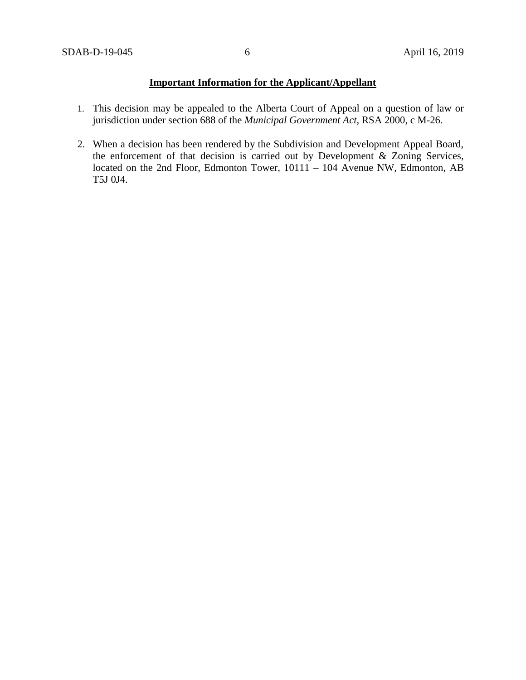# **Important Information for the Applicant/Appellant**

- 1. This decision may be appealed to the Alberta Court of Appeal on a question of law or jurisdiction under section 688 of the *Municipal Government Act*, RSA 2000, c M-26.
- 2. When a decision has been rendered by the Subdivision and Development Appeal Board, the enforcement of that decision is carried out by Development & Zoning Services, located on the 2nd Floor, Edmonton Tower, 10111 – 104 Avenue NW, Edmonton, AB T5J 0J4.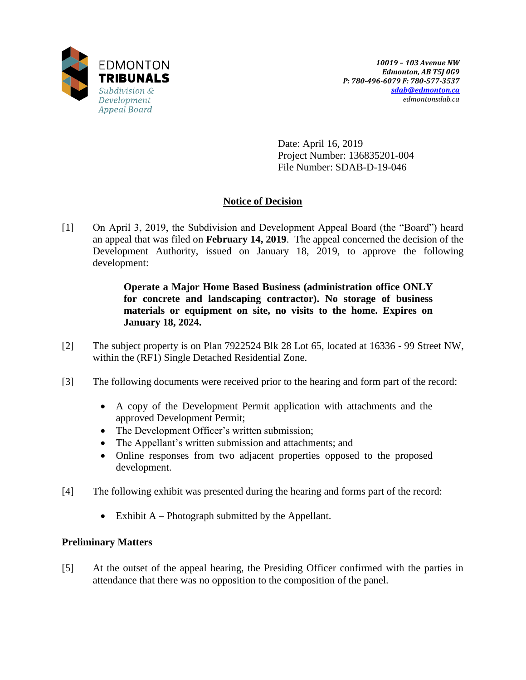

Date: April 16, 2019 Project Number: 136835201-004 File Number: SDAB-D-19-046

# **Notice of Decision**

[1] On April 3, 2019, the Subdivision and Development Appeal Board (the "Board") heard an appeal that was filed on **February 14, 2019**. The appeal concerned the decision of the Development Authority, issued on January 18, 2019, to approve the following development:

> **Operate a Major Home Based Business (administration office ONLY for concrete and landscaping contractor). No storage of business materials or equipment on site, no visits to the home. Expires on January 18, 2024.**

- [2] The subject property is on Plan 7922524 Blk 28 Lot 65, located at 16336 99 Street NW, within the (RF1) Single Detached Residential Zone.
- [3] The following documents were received prior to the hearing and form part of the record:
	- A copy of the Development Permit application with attachments and the approved Development Permit;
	- The Development Officer's written submission;
	- The Appellant's written submission and attachments; and
	- Online responses from two adjacent properties opposed to the proposed development.
- [4] The following exhibit was presented during the hearing and forms part of the record:
	- Exhibit  $A$  Photograph submitted by the Appellant.

## **Preliminary Matters**

[5] At the outset of the appeal hearing, the Presiding Officer confirmed with the parties in attendance that there was no opposition to the composition of the panel.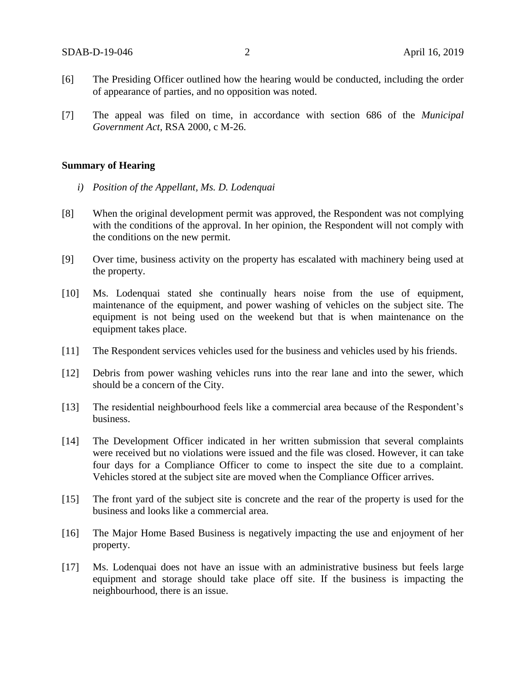- [6] The Presiding Officer outlined how the hearing would be conducted, including the order of appearance of parties, and no opposition was noted.
- [7] The appeal was filed on time, in accordance with section 686 of the *Municipal Government Act*, RSA 2000, c M-26.

## **Summary of Hearing**

- *i) Position of the Appellant, Ms. D. Lodenquai*
- [8] When the original development permit was approved, the Respondent was not complying with the conditions of the approval. In her opinion, the Respondent will not comply with the conditions on the new permit.
- [9] Over time, business activity on the property has escalated with machinery being used at the property.
- [10] Ms. Lodenquai stated she continually hears noise from the use of equipment, maintenance of the equipment, and power washing of vehicles on the subject site. The equipment is not being used on the weekend but that is when maintenance on the equipment takes place.
- [11] The Respondent services vehicles used for the business and vehicles used by his friends.
- [12] Debris from power washing vehicles runs into the rear lane and into the sewer, which should be a concern of the City.
- [13] The residential neighbourhood feels like a commercial area because of the Respondent's business.
- [14] The Development Officer indicated in her written submission that several complaints were received but no violations were issued and the file was closed. However, it can take four days for a Compliance Officer to come to inspect the site due to a complaint. Vehicles stored at the subject site are moved when the Compliance Officer arrives.
- [15] The front yard of the subject site is concrete and the rear of the property is used for the business and looks like a commercial area.
- [16] The Major Home Based Business is negatively impacting the use and enjoyment of her property.
- [17] Ms. Lodenquai does not have an issue with an administrative business but feels large equipment and storage should take place off site. If the business is impacting the neighbourhood, there is an issue.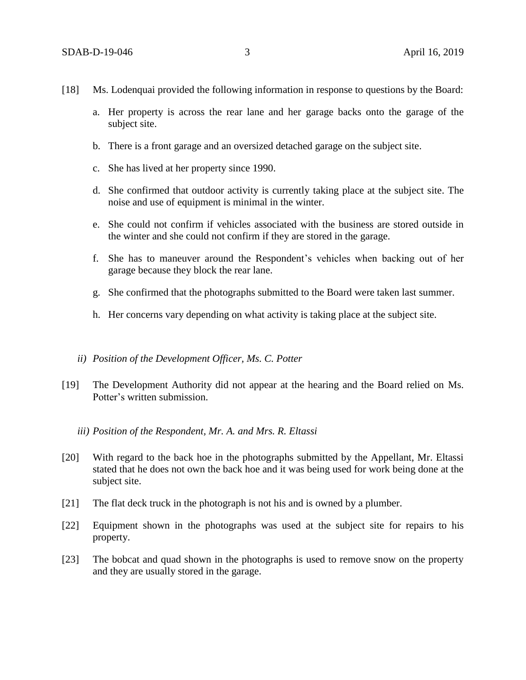- [18] Ms. Lodenquai provided the following information in response to questions by the Board:
	- a. Her property is across the rear lane and her garage backs onto the garage of the subject site.
	- b. There is a front garage and an oversized detached garage on the subject site.
	- c. She has lived at her property since 1990.
	- d. She confirmed that outdoor activity is currently taking place at the subject site. The noise and use of equipment is minimal in the winter.
	- e. She could not confirm if vehicles associated with the business are stored outside in the winter and she could not confirm if they are stored in the garage.
	- f. She has to maneuver around the Respondent's vehicles when backing out of her garage because they block the rear lane.
	- g. She confirmed that the photographs submitted to the Board were taken last summer.
	- h. Her concerns vary depending on what activity is taking place at the subject site.

## *ii) Position of the Development Officer, Ms. C. Potter*

[19] The Development Authority did not appear at the hearing and the Board relied on Ms. Potter's written submission.

## *iii) Position of the Respondent, Mr. A. and Mrs. R. Eltassi*

- [20] With regard to the back hoe in the photographs submitted by the Appellant, Mr. Eltassi stated that he does not own the back hoe and it was being used for work being done at the subject site.
- [21] The flat deck truck in the photograph is not his and is owned by a plumber.
- [22] Equipment shown in the photographs was used at the subject site for repairs to his property.
- [23] The bobcat and quad shown in the photographs is used to remove snow on the property and they are usually stored in the garage.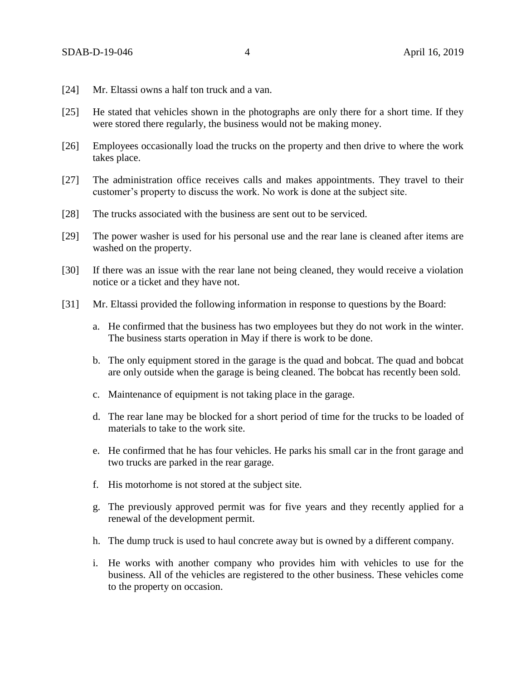- [24] Mr. Eltassi owns a half ton truck and a van.
- [25] He stated that vehicles shown in the photographs are only there for a short time. If they were stored there regularly, the business would not be making money.
- [26] Employees occasionally load the trucks on the property and then drive to where the work takes place.
- [27] The administration office receives calls and makes appointments. They travel to their customer's property to discuss the work. No work is done at the subject site.
- [28] The trucks associated with the business are sent out to be serviced.
- [29] The power washer is used for his personal use and the rear lane is cleaned after items are washed on the property.
- [30] If there was an issue with the rear lane not being cleaned, they would receive a violation notice or a ticket and they have not.
- [31] Mr. Eltassi provided the following information in response to questions by the Board:
	- a. He confirmed that the business has two employees but they do not work in the winter. The business starts operation in May if there is work to be done.
	- b. The only equipment stored in the garage is the quad and bobcat. The quad and bobcat are only outside when the garage is being cleaned. The bobcat has recently been sold.
	- c. Maintenance of equipment is not taking place in the garage.
	- d. The rear lane may be blocked for a short period of time for the trucks to be loaded of materials to take to the work site.
	- e. He confirmed that he has four vehicles. He parks his small car in the front garage and two trucks are parked in the rear garage.
	- f. His motorhome is not stored at the subject site.
	- g. The previously approved permit was for five years and they recently applied for a renewal of the development permit.
	- h. The dump truck is used to haul concrete away but is owned by a different company.
	- i. He works with another company who provides him with vehicles to use for the business. All of the vehicles are registered to the other business. These vehicles come to the property on occasion.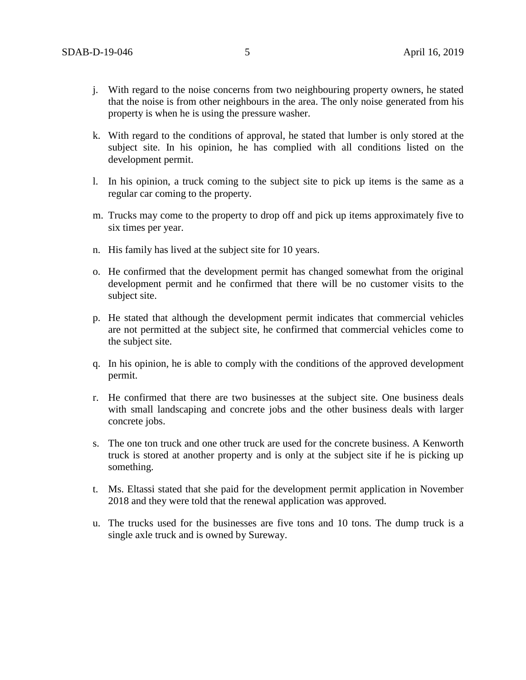- j. With regard to the noise concerns from two neighbouring property owners, he stated that the noise is from other neighbours in the area. The only noise generated from his property is when he is using the pressure washer.
- k. With regard to the conditions of approval, he stated that lumber is only stored at the subject site. In his opinion, he has complied with all conditions listed on the development permit.
- l. In his opinion, a truck coming to the subject site to pick up items is the same as a regular car coming to the property.
- m. Trucks may come to the property to drop off and pick up items approximately five to six times per year.
- n. His family has lived at the subject site for 10 years.
- o. He confirmed that the development permit has changed somewhat from the original development permit and he confirmed that there will be no customer visits to the subject site.
- p. He stated that although the development permit indicates that commercial vehicles are not permitted at the subject site, he confirmed that commercial vehicles come to the subject site.
- q. In his opinion, he is able to comply with the conditions of the approved development permit.
- r. He confirmed that there are two businesses at the subject site. One business deals with small landscaping and concrete jobs and the other business deals with larger concrete jobs.
- s. The one ton truck and one other truck are used for the concrete business. A Kenworth truck is stored at another property and is only at the subject site if he is picking up something.
- t. Ms. Eltassi stated that she paid for the development permit application in November 2018 and they were told that the renewal application was approved.
- u. The trucks used for the businesses are five tons and 10 tons. The dump truck is a single axle truck and is owned by Sureway.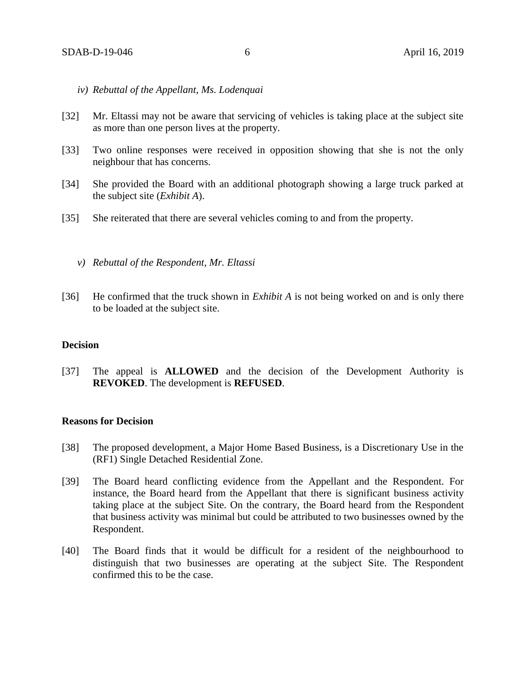- *iv) Rebuttal of the Appellant, Ms. Lodenquai*
- [32] Mr. Eltassi may not be aware that servicing of vehicles is taking place at the subject site as more than one person lives at the property.
- [33] Two online responses were received in opposition showing that she is not the only neighbour that has concerns.
- [34] She provided the Board with an additional photograph showing a large truck parked at the subject site (*Exhibit A*).
- [35] She reiterated that there are several vehicles coming to and from the property.
	- *v) Rebuttal of the Respondent, Mr. Eltassi*
- [36] He confirmed that the truck shown in *Exhibit A* is not being worked on and is only there to be loaded at the subject site.

## **Decision**

[37] The appeal is **ALLOWED** and the decision of the Development Authority is **REVOKED**. The development is **REFUSED**.

## **Reasons for Decision**

- [38] The proposed development, a Major Home Based Business, is a Discretionary Use in the (RF1) Single Detached Residential Zone.
- [39] The Board heard conflicting evidence from the Appellant and the Respondent. For instance, the Board heard from the Appellant that there is significant business activity taking place at the subject Site. On the contrary, the Board heard from the Respondent that business activity was minimal but could be attributed to two businesses owned by the Respondent.
- [40] The Board finds that it would be difficult for a resident of the neighbourhood to distinguish that two businesses are operating at the subject Site. The Respondent confirmed this to be the case.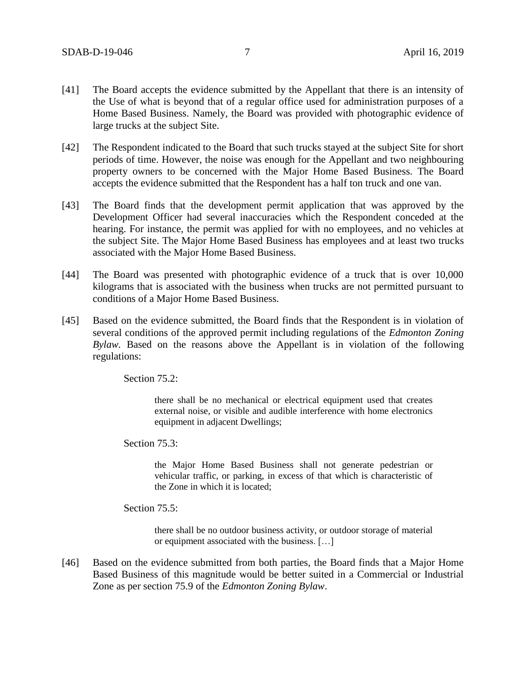- [41] The Board accepts the evidence submitted by the Appellant that there is an intensity of the Use of what is beyond that of a regular office used for administration purposes of a Home Based Business. Namely, the Board was provided with photographic evidence of large trucks at the subject Site.
- [42] The Respondent indicated to the Board that such trucks stayed at the subject Site for short periods of time. However, the noise was enough for the Appellant and two neighbouring property owners to be concerned with the Major Home Based Business. The Board accepts the evidence submitted that the Respondent has a half ton truck and one van.
- [43] The Board finds that the development permit application that was approved by the Development Officer had several inaccuracies which the Respondent conceded at the hearing. For instance, the permit was applied for with no employees, and no vehicles at the subject Site. The Major Home Based Business has employees and at least two trucks associated with the Major Home Based Business.
- [44] The Board was presented with photographic evidence of a truck that is over 10,000 kilograms that is associated with the business when trucks are not permitted pursuant to conditions of a Major Home Based Business.
- [45] Based on the evidence submitted, the Board finds that the Respondent is in violation of several conditions of the approved permit including regulations of the *Edmonton Zoning Bylaw.* Based on the reasons above the Appellant is in violation of the following regulations:

Section 75.2:

there shall be no mechanical or electrical equipment used that creates external noise, or visible and audible interference with home electronics equipment in adjacent Dwellings;

Section 75.3:

the Major Home Based Business shall not generate pedestrian or vehicular traffic, or parking, in excess of that which is characteristic of the Zone in which it is located;

Section 75.5:

there shall be no outdoor business activity, or outdoor storage of material or equipment associated with the business. […]

[46] Based on the evidence submitted from both parties, the Board finds that a Major Home Based Business of this magnitude would be better suited in a Commercial or Industrial Zone as per section 75.9 of the *Edmonton Zoning Bylaw*.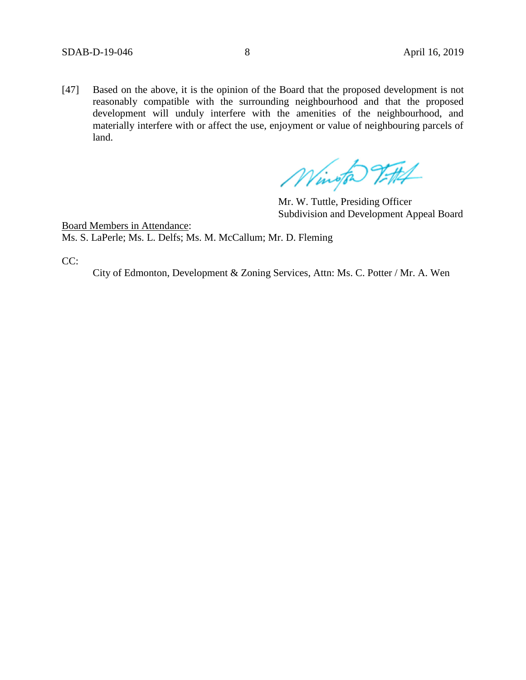[47] Based on the above, it is the opinion of the Board that the proposed development is not reasonably compatible with the surrounding neighbourhood and that the proposed development will unduly interfere with the amenities of the neighbourhood, and materially interfere with or affect the use, enjoyment or value of neighbouring parcels of land.

Wington Vittel

Mr. W. Tuttle, Presiding Officer Subdivision and Development Appeal Board

Board Members in Attendance: Ms. S. LaPerle; Ms. L. Delfs; Ms. M. McCallum; Mr. D. Fleming

CC:

City of Edmonton, Development & Zoning Services, Attn: Ms. C. Potter / Mr. A. Wen